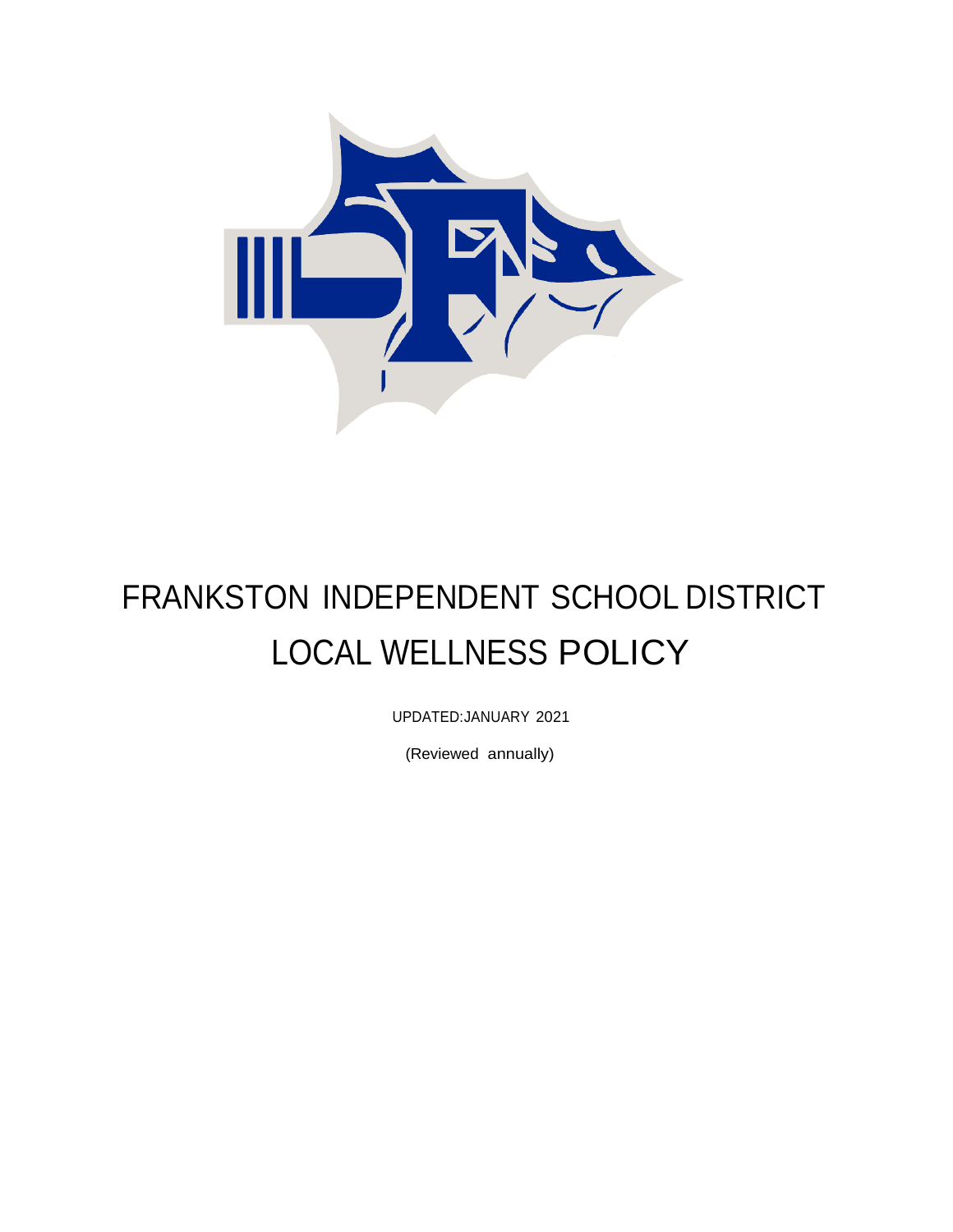

# FRANKSTON INDEPENDENT SCHOOL DISTRICT LOCAL WELLNESS POLICY

UPDATED:JANUARY 2021

(Reviewed annually)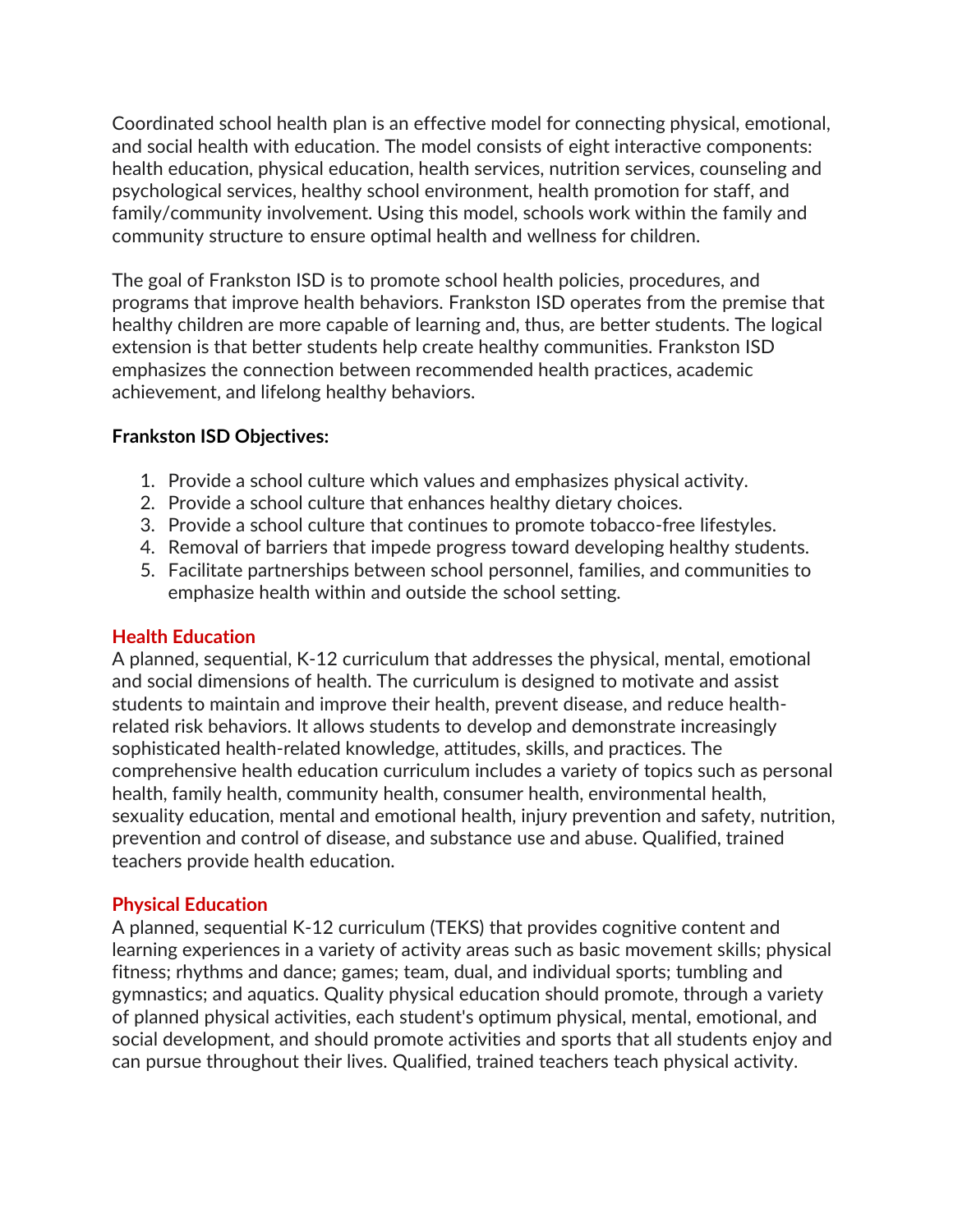Coordinated school health plan is an effective model for connecting physical, emotional, and social health with education. The model consists of eight interactive components: health education, physical education, health services, nutrition services, counseling and psychological services, healthy school environment, health promotion for staff, and family/community involvement. Using this model, schools work within the family and community structure to ensure optimal health and wellness for children.

The goal of Frankston ISD is to promote school health policies, procedures, and programs that improve health behaviors. Frankston ISD operates from the premise that healthy children are more capable of learning and, thus, are better students. The logical extension is that better students help create healthy communities. Frankston ISD emphasizes the connection between recommended health practices, academic achievement, and lifelong healthy behaviors.

## **Frankston ISD Objectives:**

- 1. Provide a school culture which values and emphasizes physical activity.
- 2. Provide a school culture that enhances healthy dietary choices.
- 3. Provide a school culture that continues to promote tobacco-free lifestyles.
- 4. Removal of barriers that impede progress toward developing healthy students.
- 5. Facilitate partnerships between school personnel, families, and communities to emphasize health within and outside the school setting.

#### **Health Education**

A planned, sequential, K-12 curriculum that addresses the physical, mental, emotional and social dimensions of health. The curriculum is designed to motivate and assist students to maintain and improve their health, prevent disease, and reduce healthrelated risk behaviors. It allows students to develop and demonstrate increasingly sophisticated health-related knowledge, attitudes, skills, and practices. The comprehensive health education curriculum includes a variety of topics such as personal health, family health, community health, consumer health, environmental health, sexuality education, mental and emotional health, injury prevention and safety, nutrition, prevention and control of disease, and substance use and abuse. Qualified, trained teachers provide health education.

## **Physical Education**

A planned, sequential K-12 curriculum (TEKS) that provides cognitive content and learning experiences in a variety of activity areas such as basic movement skills; physical fitness; rhythms and dance; games; team, dual, and individual sports; tumbling and gymnastics; and aquatics. Quality physical education should promote, through a variety of planned physical activities, each student's optimum physical, mental, emotional, and social development, and should promote activities and sports that all students enjoy and can pursue throughout their lives. Qualified, trained teachers teach physical activity.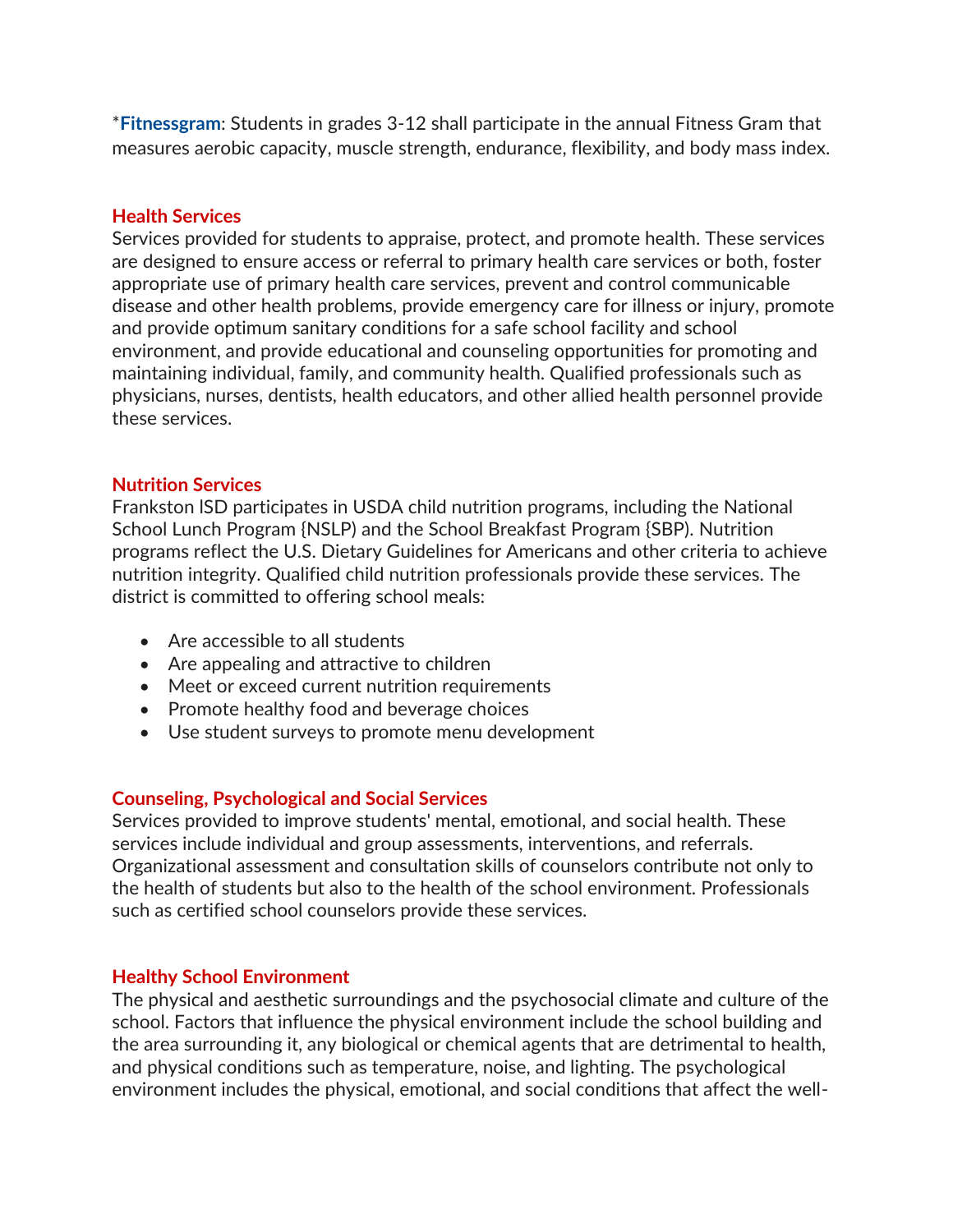\***[Fitnessgram](http://www.fitnessgram.net/)**: Students in grades 3-12 shall participate in the annual Fitness Gram that measures aerobic capacity, muscle strength, endurance, flexibility, and body mass index.

#### **Health Services**

Services provided for students to appraise, protect, and promote health. These services are designed to ensure access or referral to primary health care services or both, foster appropriate use of primary health care services, prevent and control communicable disease and other health problems, provide emergency care for illness or injury, promote and provide optimum sanitary conditions for a safe school facility and school environment, and provide educational and counseling opportunities for promoting and maintaining individual, family, and community health. Qualified professionals such as physicians, nurses, dentists, health educators, and other allied health personnel provide these services.

#### **Nutrition Services**

Frankston lSD participates in USDA child nutrition programs, including the National School Lunch Program {NSLP) and the School Breakfast Program {SBP). Nutrition programs reflect the U.S. Dietary Guidelines for Americans and other criteria to achieve nutrition integrity. Qualified child nutrition professionals provide these services. The district is committed to offering school meals:

- Are accessible to all students
- Are appealing and attractive to children
- Meet or exceed current nutrition requirements
- Promote healthy food and beverage choices
- Use student surveys to promote menu development

#### **Counseling, Psychological and Social Services**

Services provided to improve students' mental, emotional, and social health. These services include individual and group assessments, interventions, and referrals. Organizational assessment and consultation skills of counselors contribute not only to the health of students but also to the health of the school environment. Professionals such as certified school counselors provide these services.

#### **Healthy School Environment**

The physical and aesthetic surroundings and the psychosocial climate and culture of the school. Factors that influence the physical environment include the school building and the area surrounding it, any biological or chemical agents that are detrimental to health, and physical conditions such as temperature, noise, and lighting. The psychological environment includes the physical, emotional, and social conditions that affect the well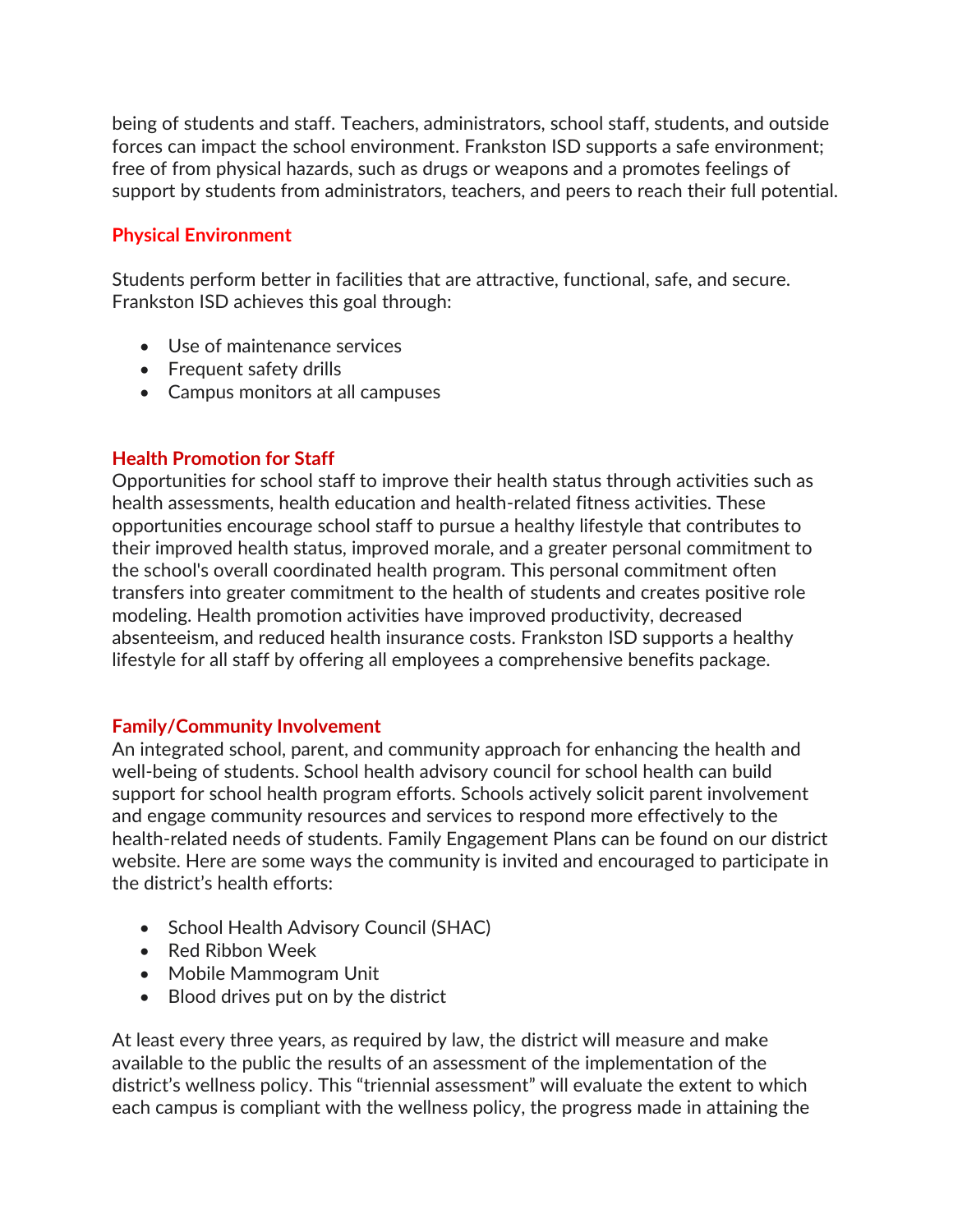being of students and staff. Teachers, administrators, school staff, students, and outside forces can impact the school environment. Frankston ISD supports a safe environment; free of from physical hazards, such as drugs or weapons and a promotes feelings of support by students from administrators, teachers, and peers to reach their full potential.

# **Physical Environment**

Students perform better in facilities that are attractive, functional, safe, and secure. Frankston ISD achieves this goal through:

- Use of maintenance services
- Frequent safety drills
- Campus monitors at all campuses

## **Health Promotion for Staff**

Opportunities for school staff to improve their health status through activities such as health assessments, health education and health-related fitness activities. These opportunities encourage school staff to pursue a healthy lifestyle that contributes to their improved health status, improved morale, and a greater personal commitment to the school's overall coordinated health program. This personal commitment often transfers into greater commitment to the health of students and creates positive role modeling. Health promotion activities have improved productivity, decreased absenteeism, and reduced health insurance costs. Frankston ISD supports a healthy lifestyle for all staff by offering all employees a comprehensive benefits package.

#### **Family/Community Involvement**

An integrated school, parent, and community approach for enhancing the health and well-being of students. School health advisory council for school health can build support for school health program efforts. Schools actively solicit parent involvement and engage community resources and services to respond more effectively to the health-related needs of students. Family Engagement Plans can be found on our district website. Here are some ways the community is invited and encouraged to participate in the district's health efforts:

- School Health Advisory Council (SHAC)
- Red Ribbon Week
- Mobile Mammogram Unit
- Blood drives put on by the district

At least every three years, as required by law, the district will measure and make available to the public the results of an assessment of the implementation of the district's wellness policy. This "triennial assessment" will evaluate the extent to which each campus is compliant with the wellness policy, the progress made in attaining the